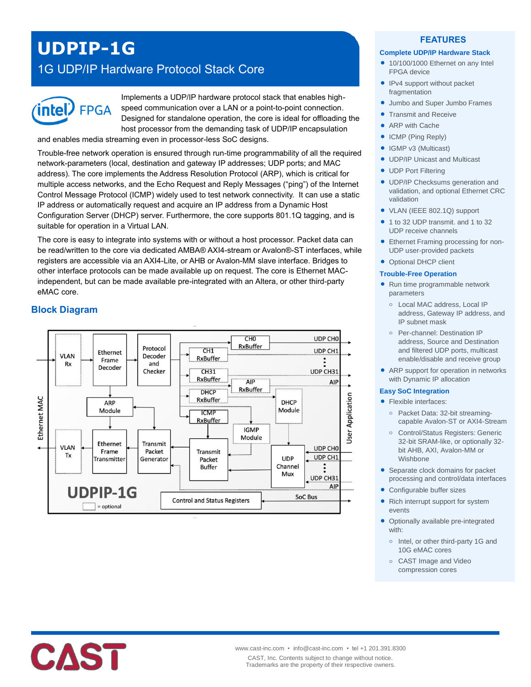# **UDPIP-1G**

# 1G UDP/IP Hardware Protocol Stack Core



Implements a UDP/IP hardware protocol stack that enables highspeed communication over a LAN or a point-to-point connection. Designed for standalone operation, the core is ideal for offloading the host processor from the demanding task of UDP/IP encapsulation and enables media streaming even in processor-less SoC designs.

Trouble-free network operation is ensured through run-time programmability of all the required network-parameters (local, destination and gateway IP addresses; UDP ports; and MAC address). The core implements the Address Resolution Protocol (ARP), which is critical for multiple access networks, and the Echo Request and Reply Messages ("ping") of the Internet

Control Message Protocol (ICMP) widely used to test network connectivity. It can use a static IP address or automatically request and acquire an IP address from a Dynamic Host Configuration Server (DHCP) server. Furthermore, the core supports 801.1Q tagging, and is suitable for operation in a Virtual LAN.

The core is easy to integrate into systems with or without a host processor. Packet data can be read/written to the core via dedicated AMBA® AXI4-stream or Avalon®-ST interfaces, while registers are accessible via an AXI4-Lite, or AHB or Avalon-MM slave interface. Bridges to other interface protocols can be made available up on request. The core is Ethernet MACindependent, but can be made available pre-integrated with an Altera, or other third-party eMAC core.

# **Block Diagram**



#### **FEATURES**

#### **Complete UDP/IP Hardware Stack**

- 10/100/1000 Ethernet on any Intel FPGA device
- IPv4 support without packet fragmentation
- Jumbo and Super Jumbo Frames
- Transmit and Receive
- ARP with Cache
- ICMP (Ping Reply)
- IGMP v3 (Multicast)
- UDP/IP Unicast and Multicast
- UDP Port Filtering
- UDP/IP Checksums generation and validation, and optional Ethernet CRC validation
- VLAN (IEEE 802.1Q) support
- 1 to 32 UDP transmit. and 1 to 32 UDP receive channels
- **Ethernet Framing processing for non-**UDP user-provided packets
- Optional DHCP client

#### **Trouble-Free Operation**

- Run time programmable network parameters
	- **o** Local MAC address, Local IP address, Gateway IP address, and IP subnet mask
	- **o** Per-channel: Destination IP address, Source and Destination and filtered UDP ports, multicast enable/disable and receive group
- ARP support for operation in networks with Dynamic IP allocation

#### **Easy SoC Integration**

- Flexible interfaces:
	- **o** Packet Data: 32-bit streamingcapable Avalon-ST or AXI4-Stream
	- **o** Control/Status Registers: Generic 32-bit SRAM-like, or optionally 32 bit AHB, AXI, Avalon-MM or Wishbone
- Separate clock domains for packet processing and control/data interfaces
- Configurable buffer sizes
- Rich interrupt support for system events
- Optionally available pre-integrated with:
	- **o** Intel, or other third-party 1G and 10G eMAC cores
	- **o** CAST Image and Video compression cores